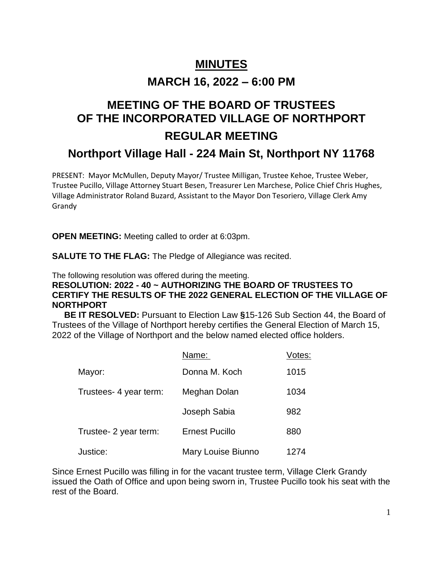# **MINUTES MARCH 16, 2022 – 6:00 PM**

## **MEETING OF THE BOARD OF TRUSTEES OF THE INCORPORATED VILLAGE OF NORTHPORT REGULAR MEETING**

## **Northport Village Hall - 224 Main St, Northport NY 11768**

PRESENT: Mayor McMullen, Deputy Mayor/ Trustee Milligan, Trustee Kehoe, Trustee Weber, Trustee Pucillo, Village Attorney Stuart Besen, Treasurer Len Marchese, Police Chief Chris Hughes, Village Administrator Roland Buzard, Assistant to the Mayor Don Tesoriero, Village Clerk Amy Grandy

**OPEN MEETING:** Meeting called to order at 6:03pm.

**SALUTE TO THE FLAG:** The Pledge of Allegiance was recited.

The following resolution was offered during the meeting.

### **RESOLUTION: 2022 - 40 ~ AUTHORIZING THE BOARD OF TRUSTEES TO CERTIFY THE RESULTS OF THE 2022 GENERAL ELECTION OF THE VILLAGE OF NORTHPORT**

 **BE IT RESOLVED:** Pursuant to Election Law **§**15-126 Sub Section 44, the Board of Trustees of the Village of Northport hereby certifies the General Election of March 15, 2022 of the Village of Northport and the below named elected office holders.

|                        | Name:                 | Votes: |
|------------------------|-----------------------|--------|
| Mayor:                 | Donna M. Koch         | 1015   |
| Trustees- 4 year term: | Meghan Dolan          | 1034   |
|                        | Joseph Sabia          | 982    |
| Trustee- 2 year term:  | <b>Ernest Pucillo</b> | 880    |
| Justice:               | Mary Louise Biunno    | 1274   |

Since Ernest Pucillo was filling in for the vacant trustee term, Village Clerk Grandy issued the Oath of Office and upon being sworn in, Trustee Pucillo took his seat with the rest of the Board.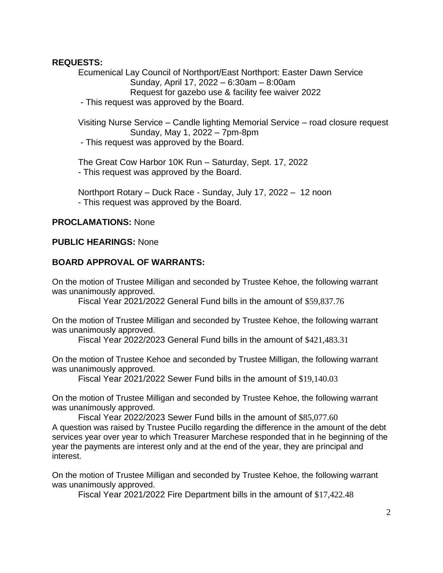#### **REQUESTS:**

Ecumenical Lay Council of Northport/East Northport: Easter Dawn Service Sunday, April 17, 2022 – 6:30am – 8:00am Request for gazebo use & facility fee waiver 2022 - This request was approved by the Board.

Visiting Nurse Service – Candle lighting Memorial Service – road closure request Sunday, May 1, 2022 – 7pm-8pm

- This request was approved by the Board.

The Great Cow Harbor 10K Run – Saturday, Sept. 17, 2022 - This request was approved by the Board.

Northport Rotary – Duck Race - Sunday, July 17, 2022 – 12 noon - This request was approved by the Board.

#### **PROCLAMATIONS:** None

#### **PUBLIC HEARINGS:** None

#### **BOARD APPROVAL OF WARRANTS:**

On the motion of Trustee Milligan and seconded by Trustee Kehoe, the following warrant was unanimously approved.

Fiscal Year 2021/2022 General Fund bills in the amount of \$59,837.76

On the motion of Trustee Milligan and seconded by Trustee Kehoe, the following warrant was unanimously approved.

Fiscal Year 2022/2023 General Fund bills in the amount of \$421,483.31

On the motion of Trustee Kehoe and seconded by Trustee Milligan, the following warrant was unanimously approved.

Fiscal Year 2021/2022 Sewer Fund bills in the amount of \$19,140.03

On the motion of Trustee Milligan and seconded by Trustee Kehoe, the following warrant was unanimously approved.

Fiscal Year 2022/2023 Sewer Fund bills in the amount of \$85,077.60 A question was raised by Trustee Pucillo regarding the difference in the amount of the debt services year over year to which Treasurer Marchese responded that in he beginning of the year the payments are interest only and at the end of the year, they are principal and interest.

On the motion of Trustee Milligan and seconded by Trustee Kehoe, the following warrant was unanimously approved.

Fiscal Year 2021/2022 Fire Department bills in the amount of \$17,422.48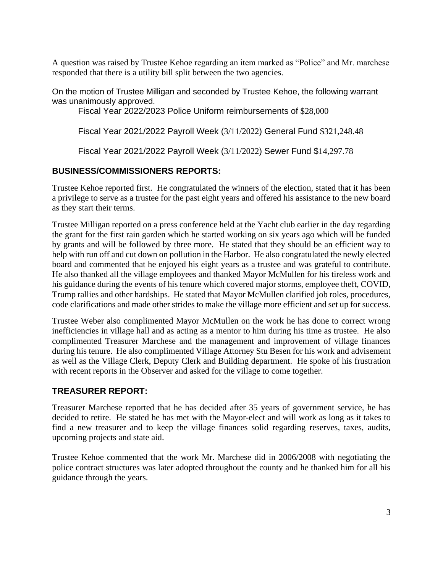A question was raised by Trustee Kehoe regarding an item marked as "Police" and Mr. marchese responded that there is a utility bill split between the two agencies.

On the motion of Trustee Milligan and seconded by Trustee Kehoe, the following warrant was unanimously approved.

Fiscal Year 2022/2023 Police Uniform reimbursements of \$28,000

Fiscal Year 2021/2022 Payroll Week (3/11/2022) General Fund \$321,248.48

Fiscal Year 2021/2022 Payroll Week (3/11/2022) Sewer Fund \$14,297.78

## **BUSINESS/COMMISSIONERS REPORTS:**

Trustee Kehoe reported first. He congratulated the winners of the election, stated that it has been a privilege to serve as a trustee for the past eight years and offered his assistance to the new board as they start their terms.

Trustee Milligan reported on a press conference held at the Yacht club earlier in the day regarding the grant for the first rain garden which he started working on six years ago which will be funded by grants and will be followed by three more. He stated that they should be an efficient way to help with run off and cut down on pollution in the Harbor. He also congratulated the newly elected board and commented that he enjoyed his eight years as a trustee and was grateful to contribute. He also thanked all the village employees and thanked Mayor McMullen for his tireless work and his guidance during the events of his tenure which covered major storms, employee theft, COVID, Trump rallies and other hardships. He stated that Mayor McMullen clarified job roles, procedures, code clarifications and made other strides to make the village more efficient and set up for success.

Trustee Weber also complimented Mayor McMullen on the work he has done to correct wrong inefficiencies in village hall and as acting as a mentor to him during his time as trustee. He also complimented Treasurer Marchese and the management and improvement of village finances during his tenure. He also complimented Village Attorney Stu Besen for his work and advisement as well as the Village Clerk, Deputy Clerk and Building department. He spoke of his frustration with recent reports in the Observer and asked for the village to come together.

## **TREASURER REPORT:**

Treasurer Marchese reported that he has decided after 35 years of government service, he has decided to retire. He stated he has met with the Mayor-elect and will work as long as it takes to find a new treasurer and to keep the village finances solid regarding reserves, taxes, audits, upcoming projects and state aid.

Trustee Kehoe commented that the work Mr. Marchese did in 2006/2008 with negotiating the police contract structures was later adopted throughout the county and he thanked him for all his guidance through the years.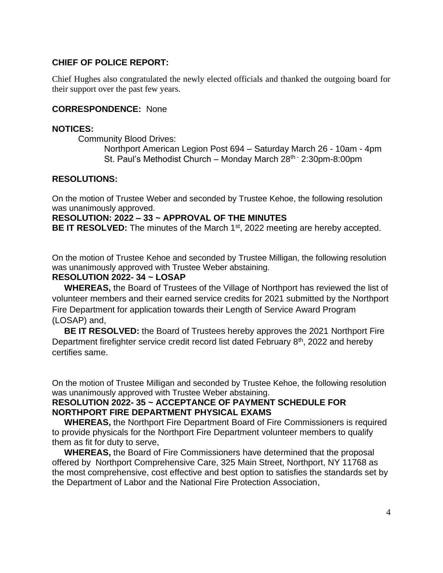### **CHIEF OF POLICE REPORT:**

Chief Hughes also congratulated the newly elected officials and thanked the outgoing board for their support over the past few years.

#### **CORRESPONDENCE:** None

#### **NOTICES:**

Community Blood Drives:

Northport American Legion Post 694 – Saturday March 26 - 10am - 4pm St. Paul's Methodist Church – Monday March 28<sup>th -</sup> 2:30pm-8:00pm

#### **RESOLUTIONS:**

On the motion of Trustee Weber and seconded by Trustee Kehoe, the following resolution was unanimously approved.

#### **RESOLUTION: 2022 – 33 ~ APPROVAL OF THE MINUTES**

BE IT RESOLVED: The minutes of the March 1<sup>st</sup>, 2022 meeting are hereby accepted.

On the motion of Trustee Kehoe and seconded by Trustee Milligan, the following resolution was unanimously approved with Trustee Weber abstaining.

#### **RESOLUTION 2022- 34 ~ LOSAP**

 **WHEREAS,** the Board of Trustees of the Village of Northport has reviewed the list of volunteer members and their earned service credits for 2021 submitted by the Northport Fire Department for application towards their Length of Service Award Program (LOSAP) and,

 **BE IT RESOLVED:** the Board of Trustees hereby approves the 2021 Northport Fire Department firefighter service credit record list dated February 8<sup>th</sup>, 2022 and hereby certifies same.

On the motion of Trustee Milligan and seconded by Trustee Kehoe, the following resolution was unanimously approved with Trustee Weber abstaining.

#### **RESOLUTION 2022- 35 ~ ACCEPTANCE OF PAYMENT SCHEDULE FOR NORTHPORT FIRE DEPARTMENT PHYSICAL EXAMS**

 **WHEREAS,** the Northport Fire Department Board of Fire Commissioners is required to provide physicals for the Northport Fire Department volunteer members to qualify them as fit for duty to serve,

 **WHEREAS,** the Board of Fire Commissioners have determined that the proposal offered by Northport Comprehensive Care, 325 Main Street, Northport, NY 11768 as the most comprehensive, cost effective and best option to satisfies the standards set by the Department of Labor and the National Fire Protection Association,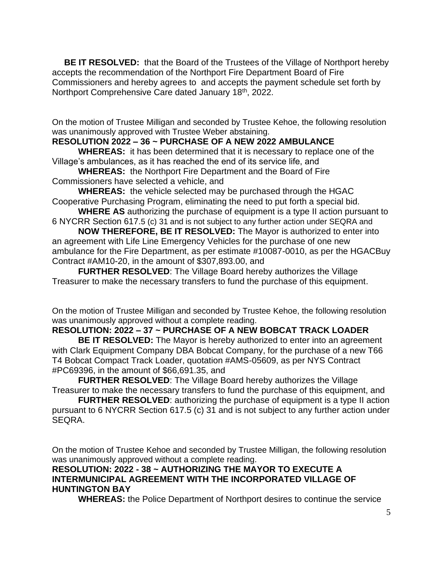**BE IT RESOLVED:** that the Board of the Trustees of the Village of Northport hereby accepts the recommendation of the Northport Fire Department Board of Fire Commissioners and hereby agrees to and accepts the payment schedule set forth by Northport Comprehensive Care dated January 18th, 2022.

On the motion of Trustee Milligan and seconded by Trustee Kehoe, the following resolution was unanimously approved with Trustee Weber abstaining.

## **RESOLUTION 2022 – 36 ~ PURCHASE OF A NEW 2022 AMBULANCE**

**WHEREAS:** it has been determined that it is necessary to replace one of the Village's ambulances, as it has reached the end of its service life, and

**WHEREAS:** the Northport Fire Department and the Board of Fire Commissioners have selected a vehicle, and

**WHEREAS:** the vehicle selected may be purchased through the HGAC Cooperative Purchasing Program, eliminating the need to put forth a special bid.

**WHERE AS** authorizing the purchase of equipment is a type II action pursuant to 6 NYCRR Section 617.5 (c) 31 and is not subject to any further action under SEQRA and

**NOW THEREFORE, BE IT RESOLVED:** The Mayor is authorized to enter into an agreement with Life Line Emergency Vehicles for the purchase of one new ambulance for the Fire Department, as per estimate #10087-0010, as per the HGACBuy Contract #AM10-20, in the amount of \$307,893.00, and

**FURTHER RESOLVED**: The Village Board hereby authorizes the Village Treasurer to make the necessary transfers to fund the purchase of this equipment.

On the motion of Trustee Milligan and seconded by Trustee Kehoe, the following resolution was unanimously approved without a complete reading.

## **RESOLUTION: 2022 – 37 ~ PURCHASE OF A NEW BOBCAT TRACK LOADER**

**BE IT RESOLVED:** The Mayor is hereby authorized to enter into an agreement with Clark Equipment Company DBA Bobcat Company, for the purchase of a new T66 T4 Bobcat Compact Track Loader, quotation #AMS-05609, as per NYS Contract #PC69396, in the amount of \$66,691.35, and

**FURTHER RESOLVED**: The Village Board hereby authorizes the Village Treasurer to make the necessary transfers to fund the purchase of this equipment, and

**FURTHER RESOLVED**: authorizing the purchase of equipment is a type II action pursuant to 6 NYCRR Section 617.5 (c) 31 and is not subject to any further action under SEQRA.

On the motion of Trustee Kehoe and seconded by Trustee Milligan, the following resolution was unanimously approved without a complete reading.

#### **RESOLUTION: 2022 - 38 ~ AUTHORIZING THE MAYOR TO EXECUTE A INTERMUNICIPAL AGREEMENT WITH THE INCORPORATED VILLAGE OF HUNTINGTON BAY**

**WHEREAS:** the Police Department of Northport desires to continue the service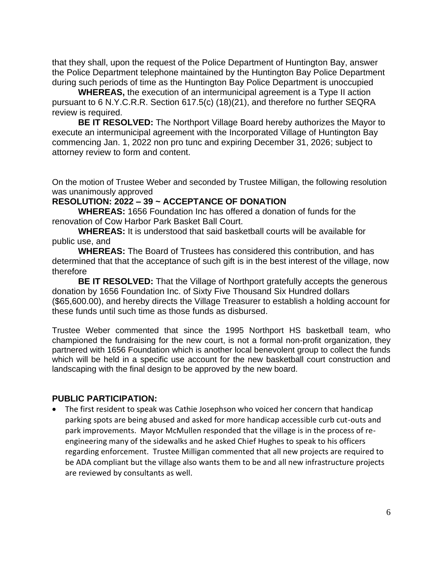that they shall, upon the request of the Police Department of Huntington Bay, answer the Police Department telephone maintained by the Huntington Bay Police Department during such periods of time as the Huntington Bay Police Department is unoccupied

**WHEREAS,** the execution of an intermunicipal agreement is a Type II action pursuant to 6 N.Y.C.R.R. Section 617.5(c) (18)(21), and therefore no further SEQRA review is required.

**BE IT RESOLVED:** The Northport Village Board hereby authorizes the Mayor to execute an intermunicipal agreement with the Incorporated Village of Huntington Bay commencing Jan. 1, 2022 non pro tunc and expiring December 31, 2026; subject to attorney review to form and content.

On the motion of Trustee Weber and seconded by Trustee Milligan, the following resolution was unanimously approved

#### **RESOLUTION: 2022 – 39 ~ ACCEPTANCE OF DONATION**

**WHEREAS:** 1656 Foundation Inc has offered a donation of funds for the renovation of Cow Harbor Park Basket Ball Court.

**WHEREAS:** It is understood that said basketball courts will be available for public use, and

**WHEREAS:** The Board of Trustees has considered this contribution, and has determined that that the acceptance of such gift is in the best interest of the village, now therefore

**BE IT RESOLVED:** That the Village of Northport gratefully accepts the generous donation by 1656 Foundation Inc. of Sixty Five Thousand Six Hundred dollars (\$65,600.00), and hereby directs the Village Treasurer to establish a holding account for these funds until such time as those funds as disbursed.

Trustee Weber commented that since the 1995 Northport HS basketball team, who championed the fundraising for the new court, is not a formal non-profit organization, they partnered with 1656 Foundation which is another local benevolent group to collect the funds which will be held in a specific use account for the new basketball court construction and landscaping with the final design to be approved by the new board.

#### **PUBLIC PARTICIPATION:**

• The first resident to speak was Cathie Josephson who voiced her concern that handicap parking spots are being abused and asked for more handicap accessible curb cut-outs and park improvements. Mayor McMullen responded that the village is in the process of reengineering many of the sidewalks and he asked Chief Hughes to speak to his officers regarding enforcement. Trustee Milligan commented that all new projects are required to be ADA compliant but the village also wants them to be and all new infrastructure projects are reviewed by consultants as well.